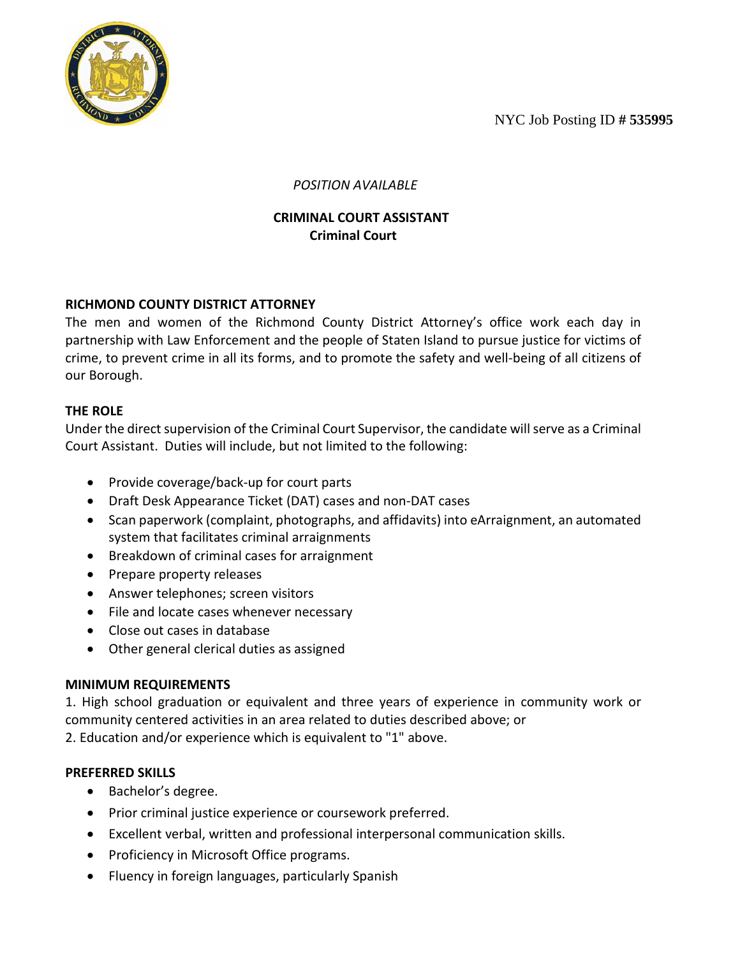NYC Job Posting ID **# 535995**



 *POSITION AVAILABLE*

# **CRIMINAL COURT ASSISTANT Criminal Court**

# **RICHMOND COUNTY DISTRICT ATTORNEY**

The men and women of the Richmond County District Attorney's office work each day in partnership with Law Enforcement and the people of Staten Island to pursue justice for victims of crime, to prevent crime in all its forms, and to promote the safety and well-being of all citizens of our Borough.

# **THE ROLE**

Under the direct supervision of the Criminal Court Supervisor, the candidate will serve as a Criminal Court Assistant. Duties will include, but not limited to the following:

- Provide coverage/back-up for court parts
- Draft Desk Appearance Ticket (DAT) cases and non-DAT cases
- Scan paperwork (complaint, photographs, and affidavits) into eArraignment, an automated system that facilitates criminal arraignments
- Breakdown of criminal cases for arraignment
- Prepare property releases
- Answer telephones; screen visitors
- File and locate cases whenever necessary
- Close out cases in database
- Other general clerical duties as assigned

### **MINIMUM REQUIREMENTS**

1. High school graduation or equivalent and three years of experience in community work or community centered activities in an area related to duties described above; or 2. Education and/or experience which is equivalent to "1" above.

### **PREFERRED SKILLS**

- Bachelor's degree.
- Prior criminal justice experience or coursework preferred.
- Excellent verbal, written and professional interpersonal communication skills.
- Proficiency in Microsoft Office programs.
- Fluency in foreign languages, particularly Spanish